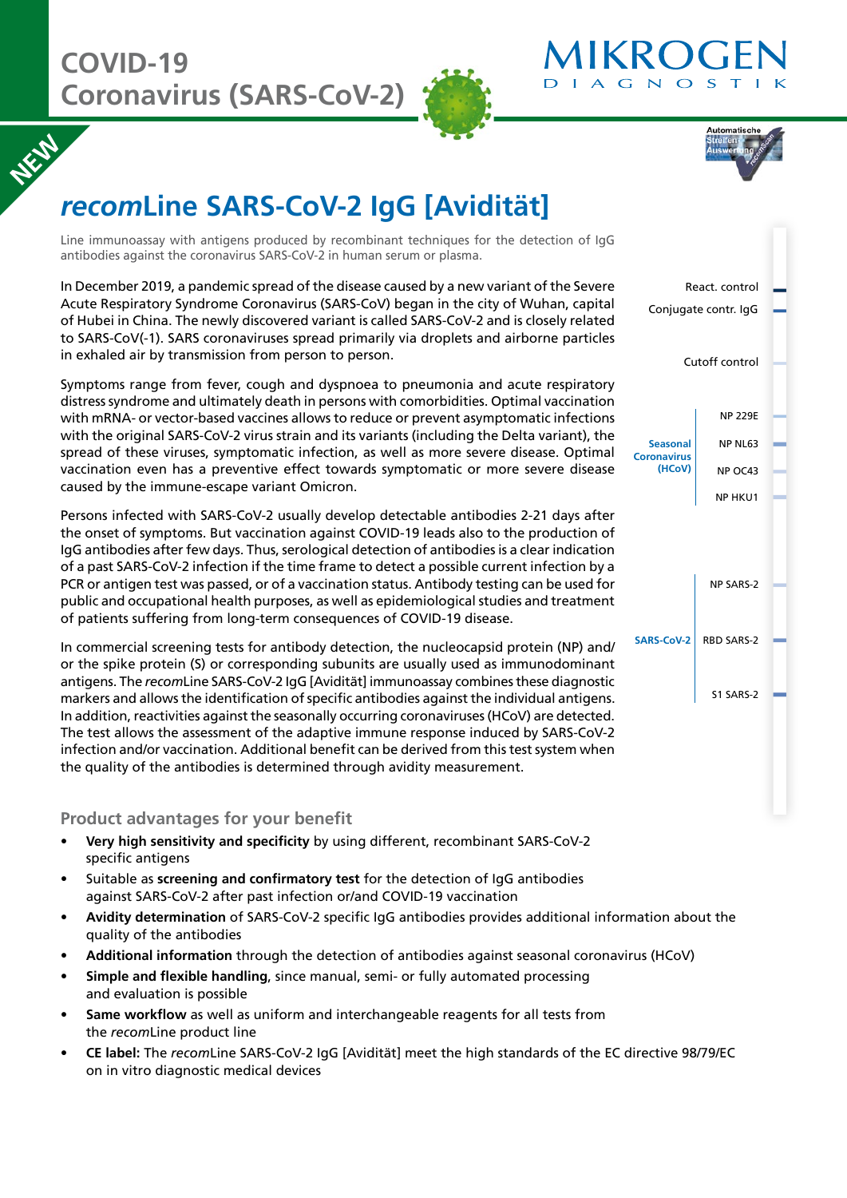**NEW** 





# *recom***Line SARS-CoV-2 IgG [Avidität]**

Line immunoassay with antigens produced by recombinant techniques for the detection of IgG antibodies against the coronavirus SARS-CoV-2 in human serum or plasma.

In December 2019, a pandemic spread of the disease caused by a new variant of the Severe Acute Respiratory Syndrome Coronavirus (SARS-CoV) began in the city of Wuhan, capital of Hubei in China. The newly discovered variant is called SARS-CoV-2 and is closely related to SARS-CoV(-1). SARS coronaviruses spread primarily via droplets and airborne particles in exhaled air by transmission from person to person.

Symptoms range from fever, cough and dyspnoea to pneumonia and acute respiratory distress syndrome and ultimately death in persons with comorbidities. Optimal vaccination with mRNA- or vector-based vaccines allows to reduce or prevent asymptomatic infections with the original SARS-CoV-2 virus strain and its variants (including the Delta variant), the spread of these viruses, symptomatic infection, as well as more severe disease. Optimal vaccination even has a preventive effect towards symptomatic or more severe disease caused by the immune-escape variant Omicron.

Persons infected with SARS-CoV-2 usually develop detectable antibodies 2-21 days after the onset of symptoms. But vaccination against COVID-19 leads also to the production of IgG antibodies after few days. Thus, serological detection of antibodies is a clear indication of a past SARS-CoV-2 infection if the time frame to detect a possible current infection by a PCR or antigen test was passed, or of a vaccination status. Antibody testing can be used for public and occupational health purposes, as well as epidemiological studies and treatment of patients suffering from long-term consequences of COVID-19 disease.

In commercial screening tests for antibody detection, the nucleocapsid protein (NP) and/ or the spike protein (S) or corresponding subunits are usually used as immunodominant antigens. The *recom*Line SARS-CoV-2 IgG [Avidität] immunoassay combines these diagnostic markers and allows the identification of specific antibodies against the individual antigens. In addition, reactivities against the seasonally occurring coronaviruses (HCoV) are detected. The test allows the assessment of the adaptive immune response induced by SARS-CoV-2 infection and/or vaccination. Additional benefit can be derived from this test system when the quality of the antibodies is determined through avidity measurement.

## **Product advantages for your benefit**

- **Very high sensitivity and specificity** by using different, recombinant SARS-CoV-2 specific antigens
- Suitable as **screening and confirmatory test** for the detection of IgG antibodies against SARS-CoV-2 after past infection or/and COVID-19 vaccination
- **Avidity determination** of SARS-CoV-2 specific IgG antibodies provides additional information about the quality of the antibodies
- **Additional information** through the detection of antibodies against seasonal coronavirus (HCoV)
- **Simple and flexible handling**, since manual, semi- or fully automated processing and evaluation is possible
- **Same workflow** as well as uniform and interchangeable reagents for all tests from the *recom*Line product line
- **CE label:** The *recom*Line SARS-CoV-2 IgG [Avidität] meet the high standards of the EC directive 98/79/EC on in vitro diagnostic medical devices

| React. control<br>Conjugate contr. IgG<br>Cutoff control |                                                        |  |
|----------------------------------------------------------|--------------------------------------------------------|--|
| <b>Seasonal</b><br><b>Coronavirus</b><br>(HCoV)          | <b>NP 229E</b><br>NP NL63<br>NP OC43<br><b>NP HKU1</b> |  |
| <b>SARS-CoV-2</b>                                        | <b>NP SARS-2</b><br><b>RBD SARS-2</b><br>S1 SARS-2     |  |
|                                                          |                                                        |  |